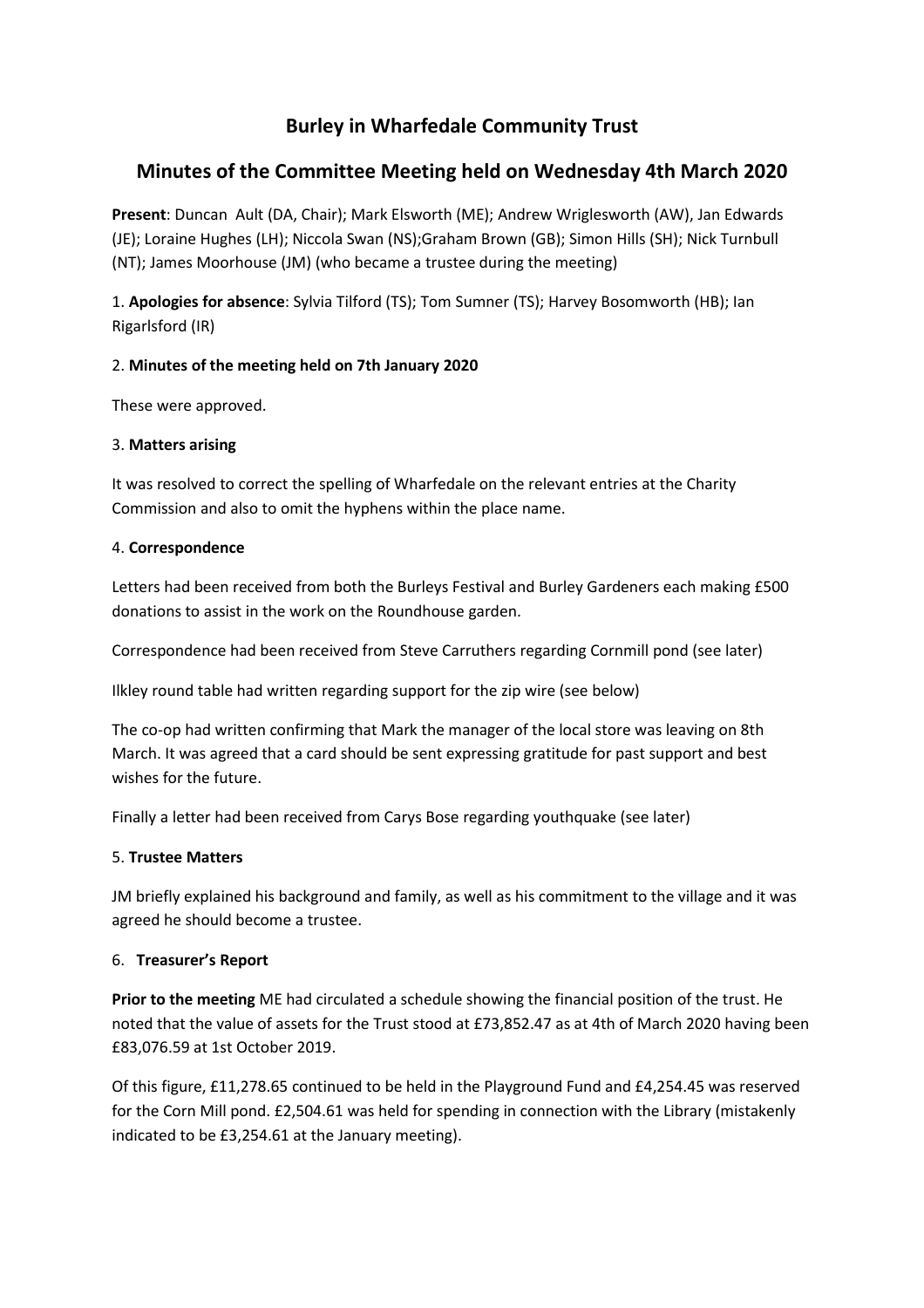# **Burley in Wharfedale Community Trust**

# **Minutes of the Committee Meeting held on Wednesday 4th March 2020**

**Present**: Duncan Ault (DA, Chair); Mark Elsworth (ME); Andrew Wriglesworth (AW), Jan Edwards (JE); Loraine Hughes (LH); Niccola Swan (NS);Graham Brown (GB); Simon Hills (SH); Nick Turnbull (NT); James Moorhouse (JM) (who became a trustee during the meeting)

1. **Apologies for absence**: Sylvia Tilford (TS); Tom Sumner (TS); Harvey Bosomworth (HB); Ian Rigarlsford (IR)

## 2. **Minutes of the meeting held on 7th January 2020**

These were approved.

# 3. **Matters arising**

It was resolved to correct the spelling of Wharfedale on the relevant entries at the Charity Commission and also to omit the hyphens within the place name.

# 4. **Correspondence**

Letters had been received from both the Burleys Festival and Burley Gardeners each making £500 donations to assist in the work on the Roundhouse garden.

Correspondence had been received from Steve Carruthers regarding Cornmill pond (see later)

Ilkley round table had written regarding support for the zip wire (see below)

The co-op had written confirming that Mark the manager of the local store was leaving on 8th March. It was agreed that a card should be sent expressing gratitude for past support and best wishes for the future.

Finally a letter had been received from Carys Bose regarding youthquake (see later)

## 5. **Trustee Matters**

JM briefly explained his background and family, as well as his commitment to the village and it was agreed he should become a trustee.

## 6. **Treasurer's Report**

**Prior to the meeting** ME had circulated a schedule showing the financial position of the trust. He noted that the value of assets for the Trust stood at £73,852.47 as at 4th of March 2020 having been £83,076.59 at 1st October 2019.

Of this figure, £11,278.65 continued to be held in the Playground Fund and £4,254.45 was reserved for the Corn Mill pond. £2,504.61 was held for spending in connection with the Library (mistakenly indicated to be £3,254.61 at the January meeting).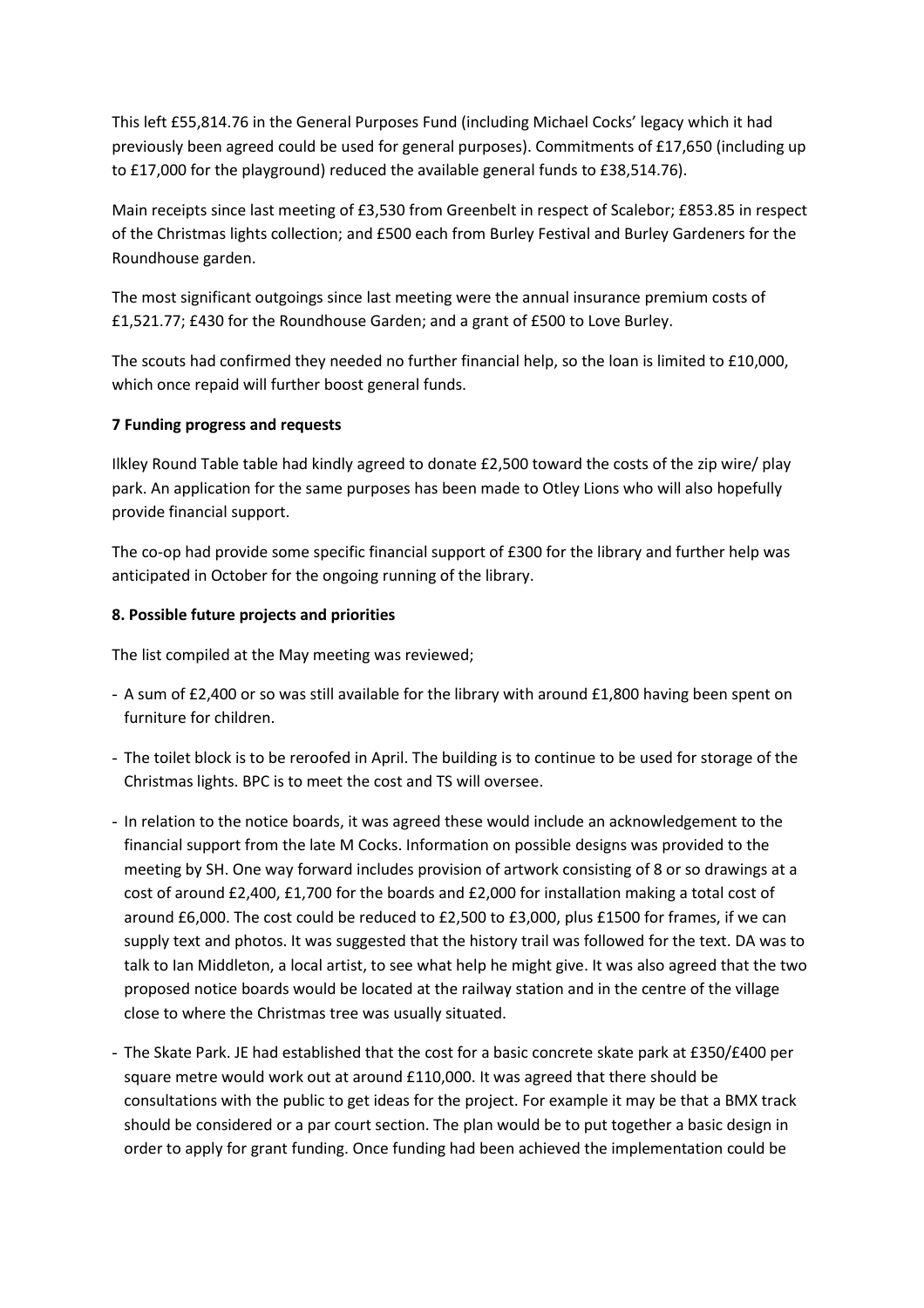This left £55,814.76 in the General Purposes Fund (including Michael Cocks' legacy which it had previously been agreed could be used for general purposes). Commitments of £17,650 (including up to £17,000 for the playground) reduced the available general funds to £38,514.76).

Main receipts since last meeting of £3,530 from Greenbelt in respect of Scalebor; £853.85 in respect of the Christmas lights collection; and £500 each from Burley Festival and Burley Gardeners for the Roundhouse garden.

The most significant outgoings since last meeting were the annual insurance premium costs of £1,521.77; £430 for the Roundhouse Garden; and a grant of £500 to Love Burley.

The scouts had confirmed they needed no further financial help, so the loan is limited to £10,000, which once repaid will further boost general funds.

#### **7 Funding progress and requests**

Ilkley Round Table table had kindly agreed to donate £2,500 toward the costs of the zip wire/ play park. An application for the same purposes has been made to Otley Lions who will also hopefully provide financial support.

The co-op had provide some specific financial support of £300 for the library and further help was anticipated in October for the ongoing running of the library.

#### **8. Possible future projects and priorities**

The list compiled at the May meeting was reviewed;

- A sum of £2,400 or so was still available for the library with around £1,800 having been spent on furniture for children.
- The toilet block is to be reroofed in April. The building is to continue to be used for storage of the Christmas lights. BPC is to meet the cost and TS will oversee.
- In relation to the notice boards, it was agreed these would include an acknowledgement to the financial support from the late M Cocks. Information on possible designs was provided to the meeting by SH. One way forward includes provision of artwork consisting of 8 or so drawings at a cost of around £2,400, £1,700 for the boards and £2,000 for installation making a total cost of around £6,000. The cost could be reduced to £2,500 to £3,000, plus £1500 for frames, if we can supply text and photos. It was suggested that the history trail was followed for the text. DA was to talk to Ian Middleton, a local artist, to see what help he might give. It was also agreed that the two proposed notice boards would be located at the railway station and in the centre of the village close to where the Christmas tree was usually situated.
- The Skate Park. JE had established that the cost for a basic concrete skate park at £350/£400 per square metre would work out at around £110,000. It was agreed that there should be consultations with the public to get ideas for the project. For example it may be that a BMX track should be considered or a par court section. The plan would be to put together a basic design in order to apply for grant funding. Once funding had been achieved the implementation could be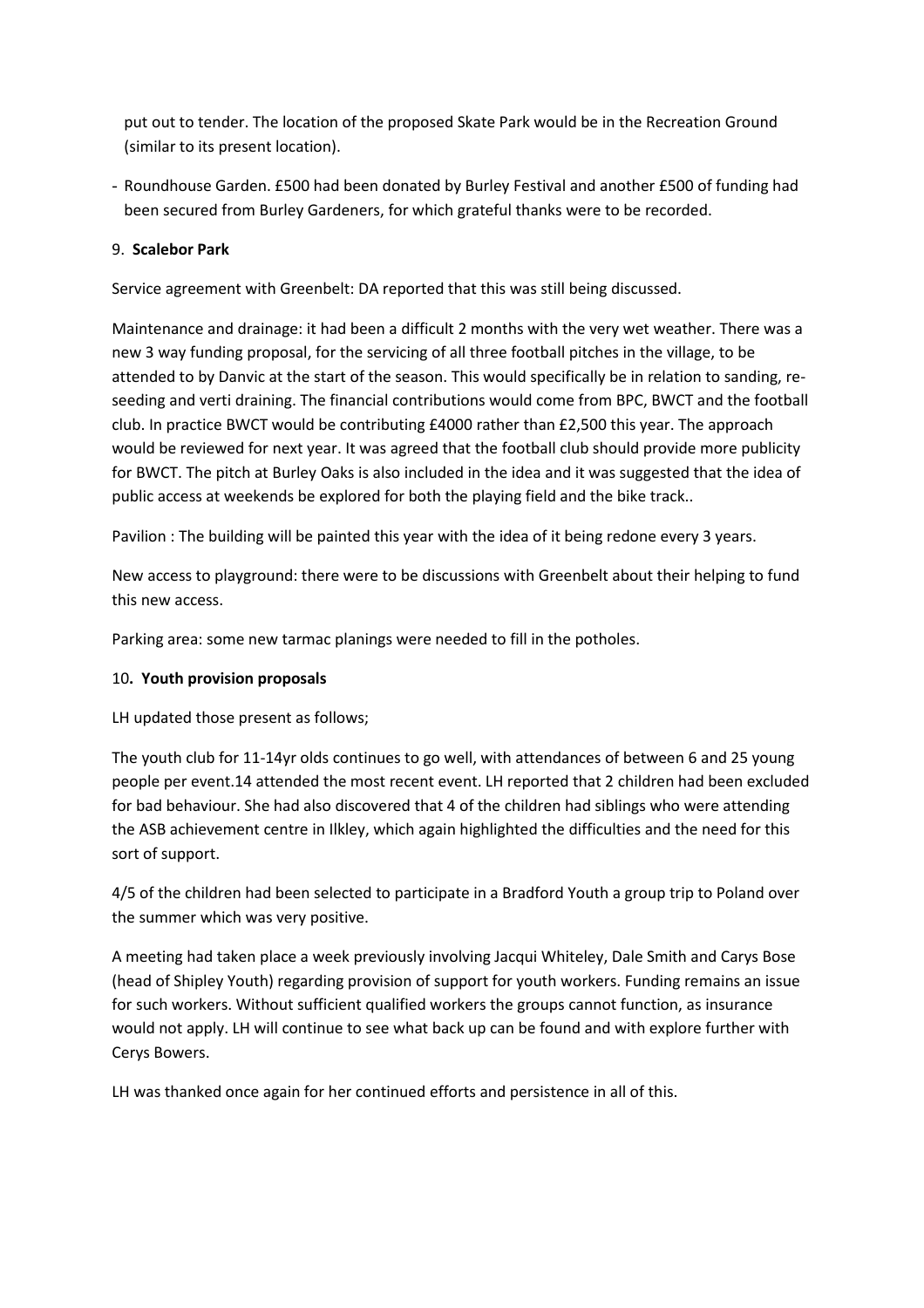put out to tender. The location of the proposed Skate Park would be in the Recreation Ground (similar to its present location).

- Roundhouse Garden. £500 had been donated by Burley Festival and another £500 of funding had been secured from Burley Gardeners, for which grateful thanks were to be recorded.

## 9. **Scalebor Park**

Service agreement with Greenbelt: DA reported that this was still being discussed.

Maintenance and drainage: it had been a difficult 2 months with the very wet weather. There was a new 3 way funding proposal, for the servicing of all three football pitches in the village, to be attended to by Danvic at the start of the season. This would specifically be in relation to sanding, reseeding and verti draining. The financial contributions would come from BPC, BWCT and the football club. In practice BWCT would be contributing £4000 rather than £2,500 this year. The approach would be reviewed for next year. It was agreed that the football club should provide more publicity for BWCT. The pitch at Burley Oaks is also included in the idea and it was suggested that the idea of public access at weekends be explored for both the playing field and the bike track..

Pavilion : The building will be painted this year with the idea of it being redone every 3 years.

New access to playground: there were to be discussions with Greenbelt about their helping to fund this new access.

Parking area: some new tarmac planings were needed to fill in the potholes.

## 10**. Youth provision proposals**

LH updated those present as follows;

The youth club for 11-14yr olds continues to go well, with attendances of between 6 and 25 young people per event.14 attended the most recent event. LH reported that 2 children had been excluded for bad behaviour. She had also discovered that 4 of the children had siblings who were attending the ASB achievement centre in Ilkley, which again highlighted the difficulties and the need for this sort of support.

4/5 of the children had been selected to participate in a Bradford Youth a group trip to Poland over the summer which was very positive.

A meeting had taken place a week previously involving Jacqui Whiteley, Dale Smith and Carys Bose (head of Shipley Youth) regarding provision of support for youth workers. Funding remains an issue for such workers. Without sufficient qualified workers the groups cannot function, as insurance would not apply. LH will continue to see what back up can be found and with explore further with Cerys Bowers.

LH was thanked once again for her continued efforts and persistence in all of this.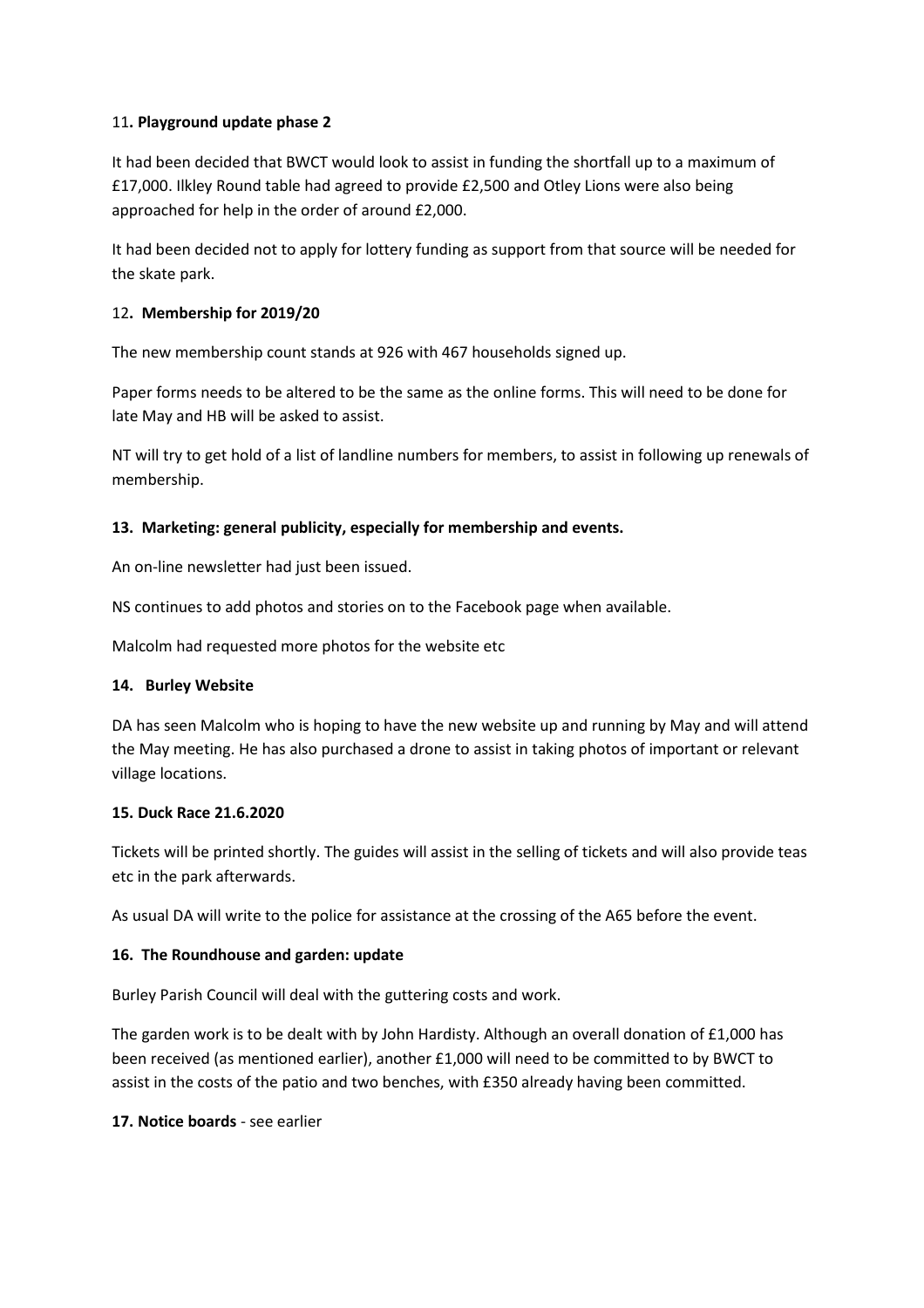#### 11**. Playground update phase 2**

It had been decided that BWCT would look to assist in funding the shortfall up to a maximum of £17,000. Ilkley Round table had agreed to provide £2,500 and Otley Lions were also being approached for help in the order of around £2,000.

It had been decided not to apply for lottery funding as support from that source will be needed for the skate park.

#### 12**. Membership for 2019/20**

The new membership count stands at 926 with 467 households signed up.

Paper forms needs to be altered to be the same as the online forms. This will need to be done for late May and HB will be asked to assist.

NT will try to get hold of a list of landline numbers for members, to assist in following up renewals of membership.

#### **13. Marketing: general publicity, especially for membership and events.**

An on-line newsletter had just been issued.

NS continues to add photos and stories on to the Facebook page when available.

Malcolm had requested more photos for the website etc

#### **14. Burley Website**

DA has seen Malcolm who is hoping to have the new website up and running by May and will attend the May meeting. He has also purchased a drone to assist in taking photos of important or relevant village locations.

#### **15. Duck Race 21.6.2020**

Tickets will be printed shortly. The guides will assist in the selling of tickets and will also provide teas etc in the park afterwards.

As usual DA will write to the police for assistance at the crossing of the A65 before the event.

#### **16. The Roundhouse and garden: update**

Burley Parish Council will deal with the guttering costs and work.

The garden work is to be dealt with by John Hardisty. Although an overall donation of £1,000 has been received (as mentioned earlier), another £1,000 will need to be committed to by BWCT to assist in the costs of the patio and two benches, with £350 already having been committed.

**17. Notice boards** - see earlier